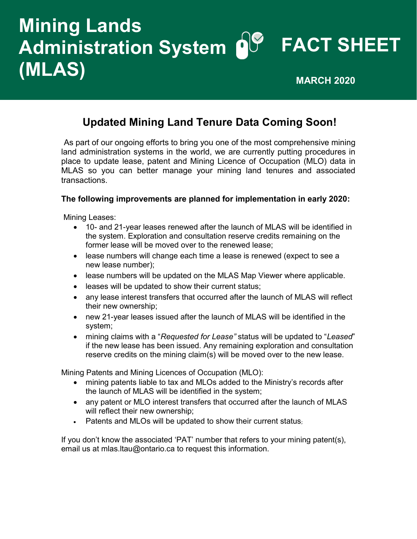# **FACT SHEET Administration System Mining Lands (MLAS) MARCH 2020**

# **Updated Mining Land Tenure Data Coming Soon!**

As part of our ongoing efforts to bring you one of the most comprehensive mining land administration systems in the world, we are currently putting procedures in place to update lease, patent and Mining Licence of Occupation (MLO) data in MLAS so you can better manage your mining land tenures and associated transactions.

#### **The following improvements are planned for implementation in early 2020:**

Mining Leases:

- 10- and 21-year leases renewed after the launch of MLAS will be identified in the system. Exploration and consultation reserve credits remaining on the former lease will be moved over to the renewed lease;
- lease numbers will change each time a lease is renewed (expect to see a new lease number);
- lease numbers will be updated on the MLAS Map Viewer where applicable.
- leases will be updated to show their current status;
- any lease interest transfers that occurred after the launch of MLAS will reflect their new ownership;
- new 21-year leases issued after the launch of MLAS will be identified in the system;
- mining claims with a "*Requested for Lease"* status will be updated to "*Leased*" if the new lease has been issued. Any remaining exploration and consultation reserve credits on the mining claim(s) will be moved over to the new lease.

Mining Patents and Mining Licences of Occupation (MLO):

- mining patents liable to tax and MLOs added to the Ministry's records after the launch of MLAS will be identified in the system;
- any patent or MLO interest transfers that occurred after the launch of MLAS will reflect their new ownership;
- Patents and MLOs will be updated to show their current status;

If you don't know the associated 'PAT' number that refers to your mining patent(s), email us at [mlas.ltau@ontario.ca t](mailto:mlas.ltau@ontario.ca)o request this information.